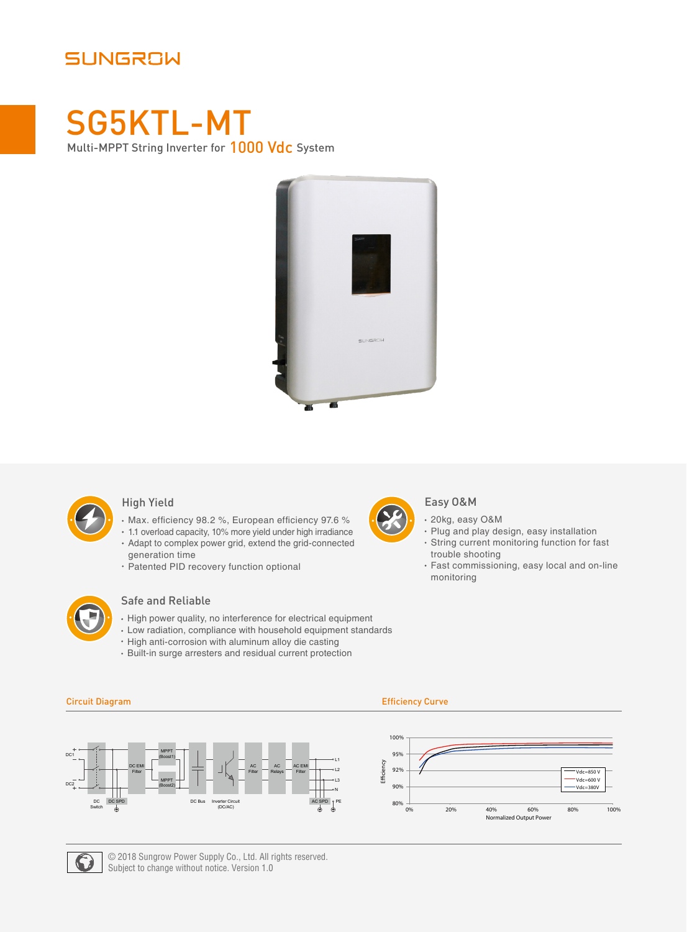# SUNGROW

# SG5KTL-MT Multi-MPPT String Inverter for 1000 Vdc System





### High Yield

- Max. efficiency 98.2 %, European efficiency 97.6 %
- 1.1 overload capacity, 10% more yield under high irradiance
- Adapt to complex power grid, extend the grid-connected generation time
- Patented PID recovery function optional



### Safe and Reliable

- High power quality, no interference for electrical equipment
- Low radiation, compliance with household equipment standards
- High anti-corrosion with aluminum alloy die casting
- Built-in surge arresters and residual current protection

- Easy O&M
- 20kg, easy O&M
- Plug and play design, easy installation String current monitoring function for fast trouble shooting
- Fast commissioning, easy local and on-line monitoring







© 2018 Sungrow Power Supply Co., Ltd. All rights reserved. Subject to change without notice. Version 1.0